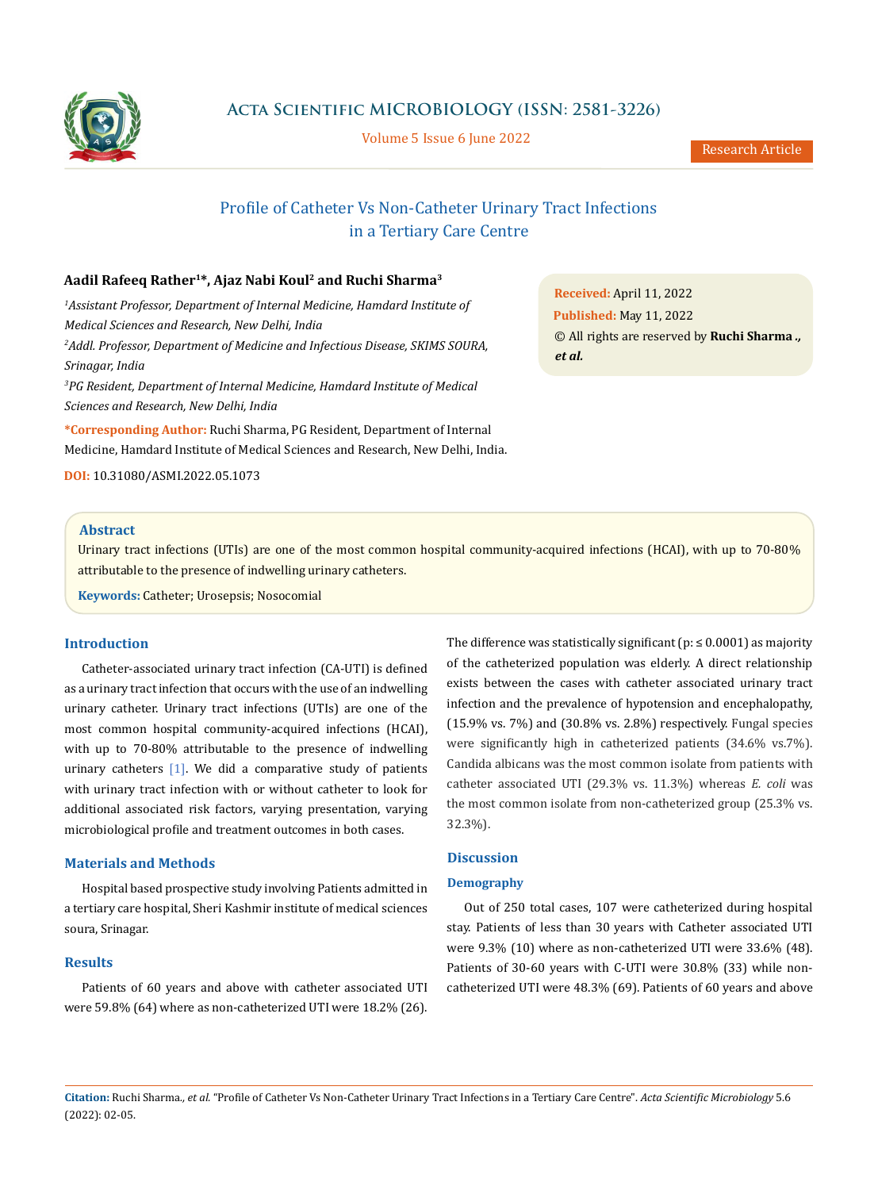

**Acta Scientific MICROBIOLOGY (ISSN: 2581-3226)**

Volume 5 Issue 6 June 2022

# Profile of Catheter Vs Non-Catheter Urinary Tract Infections in a Tertiary Care Centre

# **Aadil Rafeeq Rather1\*, Ajaz Nabi Koul2 and Ruchi Sharma3**

*1 Assistant Professor, Department of Internal Medicine, Hamdard Institute of Medical Sciences and Research, New Delhi, India 2 Addl. Professor, Department of Medicine and Infectious Disease, SKIMS SOURA, Srinagar, India 3 PG Resident, Department of Internal Medicine, Hamdard Institute of Medical Sciences and Research, New Delhi, India*

**\*Corresponding Author:** Ruchi Sharma, PG Resident, Department of Internal Medicine, Hamdard Institute of Medical Sciences and Research, New Delhi, India.

**DOI:** [10.31080/ASMI.2022.05.1073](http://actascientific.com/ASMI/pdf/ASMI-05-1073.pdf)

## **Abstract**

Urinary tract infections (UTIs) are one of the most common hospital community-acquired infections (HCAI), with up to 70-80% attributable to the presence of indwelling urinary catheters.

**Keywords:** Catheter; Urosepsis; Nosocomial

# **Introduction**

Catheter-associated urinary tract infection (CA-UTI) is defined as a urinary tract infection that occurs with the use of an indwelling urinary catheter. Urinary tract infections (UTIs) are one of the most common hospital community-acquired infections (HCAI), with up to 70-80% attributable to the presence of indwelling urinary catheters  $[1]$ . We did a comparative study of patients with urinary tract infection with or without catheter to look for additional associated risk factors, varying presentation, varying microbiological profile and treatment outcomes in both cases.

## **Materials and Methods**

Hospital based prospective study involving Patients admitted in a tertiary care hospital, Sheri Kashmir institute of medical sciences soura, Srinagar.

## **Results**

Patients of 60 years and above with catheter associated UTI were 59.8% (64) where as non-catheterized UTI were 18.2% (26). The difference was statistically significant ( $p: \leq 0.0001$ ) as majority of the catheterized population was elderly. A direct relationship exists between the cases with catheter associated urinary tract infection and the prevalence of hypotension and encephalopathy, (15.9% vs. 7%) and (30.8% vs. 2.8%) respectively. Fungal species were significantly high in catheterized patients (34.6% vs.7%). Candida albicans was the most common isolate from patients with catheter associated UTI (29.3% vs. 11.3%) whereas *E. coli* was the most common isolate from non-catheterized group (25.3% vs. 32.3%).

# **Discussion**

#### **Demography**

Out of 250 total cases, 107 were catheterized during hospital stay. Patients of less than 30 years with Catheter associated UTI were 9.3% (10) where as non-catheterized UTI were 33.6% (48). Patients of 30-60 years with C-UTI were 30.8% (33) while noncatheterized UTI were 48.3% (69). Patients of 60 years and above

**Citation:** Ruchi Sharma*., et al.* "Profile of Catheter Vs Non-Catheter Urinary Tract Infections in a Tertiary Care Centre". *Acta Scientific Microbiology* 5.6 (2022): 02-05.

**Received:** April 11, 2022 **Published:** May 11, 2022 © All rights are reserved by **Ruchi Sharma** *., et al.*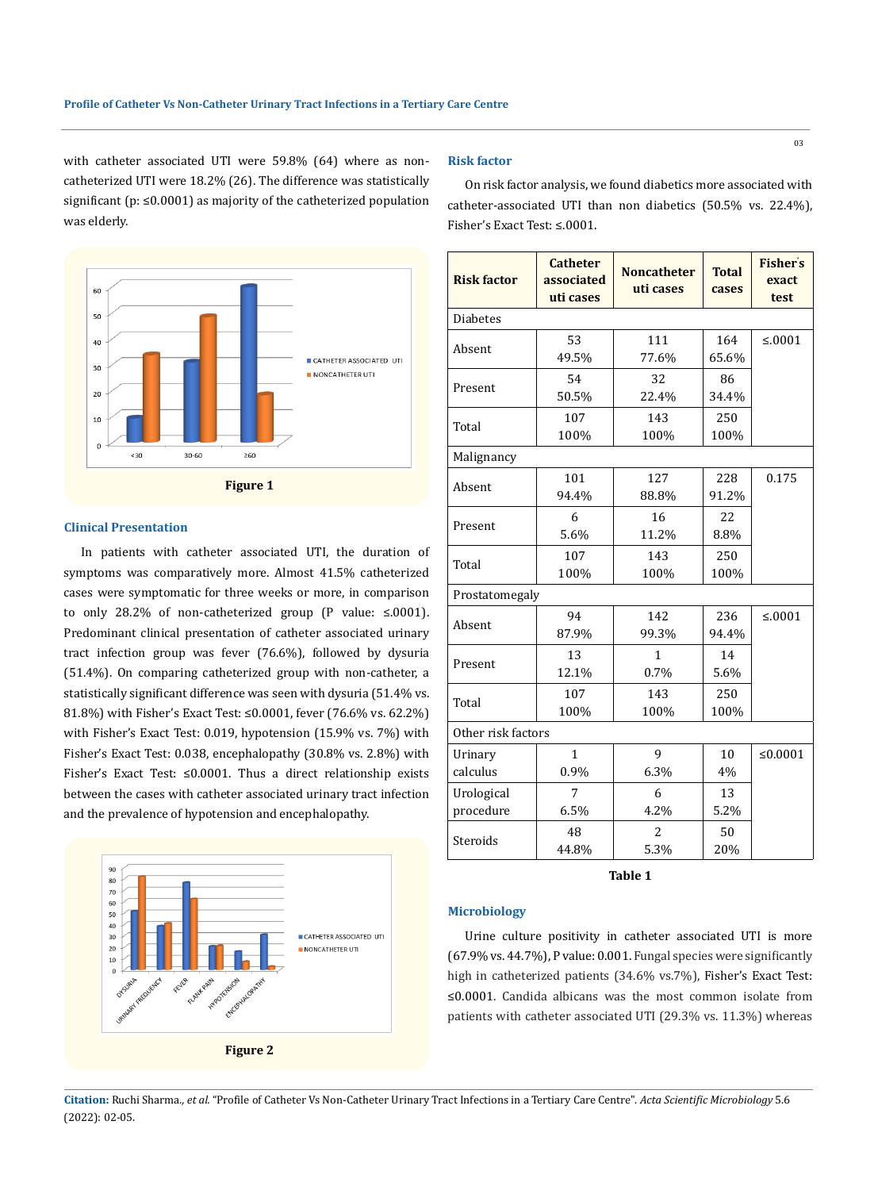with catheter associated UTI were 59.8% (64) where as noncatheterized UTI were 18.2% (26). The difference was statistically significant (p: ≤0.0001) as majority of the catheterized population was elderly.



# **Clinical Presentation**

In patients with catheter associated UTI, the duration of symptoms was comparatively more. Almost 41.5% catheterized cases were symptomatic for three weeks or more, in comparison to only 28.2% of non-catheterized group (P value: ≤.0001). Predominant clinical presentation of catheter associated urinary tract infection group was fever (76.6%), followed by dysuria (51.4%). On comparing catheterized group with non-catheter, a statistically significant difference was seen with dysuria (51.4% vs. 81.8%) with Fisher's Exact Test: ≤0.0001, fever (76.6% vs. 62.2%) with Fisher's Exact Test: 0.019, hypotension (15.9% vs. 7%) with Fisher's Exact Test: 0.038, encephalopathy (30.8% vs. 2.8%) with Fisher's Exact Test: ≤0.0001. Thus a direct relationship exists between the cases with catheter associated urinary tract infection and the prevalence of hypotension and encephalopathy.



## **Risk factor**

On risk factor analysis, we found diabetics more associated with catheter-associated UTI than non diabetics (50.5% vs. 22.4%), Fisher's Exact Test: ≤.0001.

| <b>Risk factor</b>      | <b>Catheter</b><br>associated<br>uti cases | <b>Noncatheter</b><br>uti cases | <b>Total</b><br>cases | <b>Fisher's</b><br>exact<br>test |  |  |
|-------------------------|--------------------------------------------|---------------------------------|-----------------------|----------------------------------|--|--|
| <b>Diabetes</b>         |                                            |                                 |                       |                                  |  |  |
| Absent                  | 53<br>49.5%                                | 111<br>77.6%                    | 164<br>65.6%          | ≤.0001                           |  |  |
| Present                 | 54<br>50.5%                                | 32<br>22.4%                     | 86<br>34.4%           |                                  |  |  |
| Total                   | 107<br>100%                                | 143<br>100%                     | 250<br>100%           |                                  |  |  |
| Malignancy              |                                            |                                 |                       |                                  |  |  |
| Absent                  | 101<br>94.4%                               | 127<br>88.8%                    | 228<br>91.2%          | 0.175                            |  |  |
| Present                 | 6<br>5.6%                                  | 16<br>11.2%                     | 22<br>8.8%            |                                  |  |  |
| Total                   | 107<br>100%                                | 143<br>100%                     | 250<br>100%           |                                  |  |  |
|                         | Prostatomegaly                             |                                 |                       |                                  |  |  |
| Absent                  | 94<br>87.9%                                | 142<br>99.3%                    | 236<br>94.4%          | ≤.0001                           |  |  |
| Present                 | 13<br>12.1%                                | $\mathbf{1}$<br>0.7%            | 14<br>5.6%            |                                  |  |  |
| Total                   | 107<br>100%                                | 143<br>100%                     | 250<br>100%           |                                  |  |  |
| Other risk factors      |                                            |                                 |                       |                                  |  |  |
| Urinary<br>calculus     | $\mathbf{1}$<br>0.9%                       | $\mathbf{q}$<br>6.3%            | 10<br>4%              | ≤ $0.0001$                       |  |  |
| Urological<br>procedure | 7<br>6.5%                                  | 6<br>4.2%                       | 13<br>5.2%            |                                  |  |  |
| Steroids                | 48<br>44.8%                                | $\overline{2}$<br>5.3%          | 50<br>20%             |                                  |  |  |

**Table 1**

## **Microbiology**

Urine culture positivity in catheter associated UTI is more (67.9% vs. 44.7%), P value: 0.001. Fungal species were significantly high in catheterized patients (34.6% vs.7%), Fisher's Exact Test: ≤0.0001. Candida albicans was the most common isolate from patients with catheter associated UTI (29.3% vs. 11.3%) whereas

**Citation:** Ruchi Sharma*., et al.* "Profile of Catheter Vs Non-Catheter Urinary Tract Infections in a Tertiary Care Centre". *Acta Scientific Microbiology* 5.6 (2022): 02-05.

03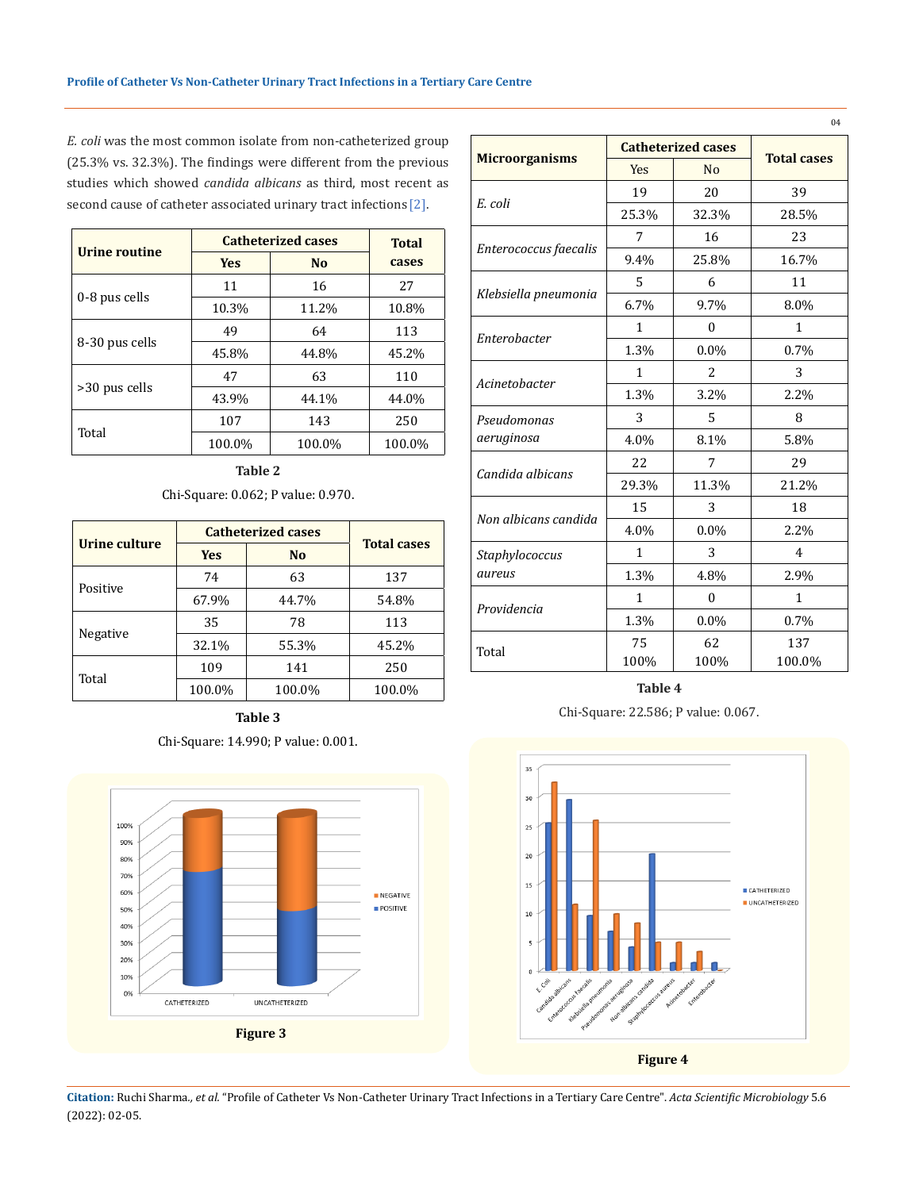*E. coli* was the most common isolate from non-catheterized group (25.3% vs. 32.3%). The findings were different from the previous studies which showed *candida albicans* as third, most recent as second cause of catheter associated urinary tract infections [2].

| Urine routine  | <b>Catheterized cases</b> | <b>Total</b>   |        |
|----------------|---------------------------|----------------|--------|
|                | <b>Yes</b>                | N <sub>0</sub> | cases  |
| 0-8 pus cells  | 11                        | 16             | 27     |
|                | 10.3%                     | 11.2%          | 10.8%  |
|                | 49                        | 64             | 113    |
| 8-30 pus cells | 45.8%                     | 44.8%          | 45.2%  |
|                | 47                        | 63             | 110    |
| >30 pus cells  | 43.9%                     | 44.1%          | 44.0%  |
| Total          | 107                       | 143            | 250    |
|                | 100.0%                    | 100.0%         | 100.0% |

**Table 2**

Chi-Square: 0.062; P value: 0.970.

| Urine culture | <b>Catheterized cases</b> | <b>Total cases</b> |        |  |
|---------------|---------------------------|--------------------|--------|--|
|               | <b>Yes</b>                | N <sub>o</sub>     |        |  |
| Positive      | 74                        | 63                 | 137    |  |
|               | 67.9%                     | 44.7%              | 54.8%  |  |
| Negative      | 35                        | 78                 | 113    |  |
|               | 32.1%                     | 55.3%              | 45.2%  |  |
| Total         | 109                       | 141                | 250    |  |
|               | 100.0%                    | 100.0%             | 100.0% |  |

**Table 3** Chi-Square: 14.990; P value: 0.001.



|                       |              | <b>Catheterized cases</b> |                    |
|-----------------------|--------------|---------------------------|--------------------|
| <b>Microorganisms</b> | Yes          | N <sub>o</sub>            | <b>Total cases</b> |
|                       | 19           | 20                        | 39                 |
| E. coli               | 25.3%        | 32.3%                     | 28.5%              |
|                       | 7            | 16                        | 23                 |
| Enterococcus faecalis | 9.4%         | 25.8%                     | 16.7%              |
|                       | 5            | 6                         | 11                 |
| Klebsiella pneumonia  | 6.7%         | 9.7%                      | 8.0%               |
| Enterobacter          | $\mathbf{1}$ | $\mathbf{0}$              | $\mathbf{1}$       |
|                       | 1.3%         | 0.0%                      | 0.7%               |
| Acinetobacter         | 1            | 2                         | 3                  |
|                       | 1.3%         | 3.2%                      | 2.2%               |
| Pseudomonas           | 3            | 5                         | 8                  |
| aeruginosa            | 4.0%         | 8.1%                      | 5.8%               |
|                       | 22           | 7                         | 29                 |
| Candida albicans      | 29.3%        | 11.3%                     | 21.2%              |
| Non albicans candida  | 15           | 3                         | 18                 |
|                       | 4.0%         | 0.0%                      | 2.2%               |
| Staphylococcus        | $\mathbf{1}$ | 3                         | $\overline{4}$     |
| aureus                | 1.3%         | 4.8%                      | 2.9%               |
| Providencia           | $\mathbf{1}$ | 0                         | $\mathbf{1}$       |
|                       | 1.3%         | 0.0%                      | 0.7%               |
| Total                 | 75           | 62                        | 137                |
|                       | 100%         | 100%                      | 100.0%             |

04

**Table 4**

Chi-Square: 22.586; P value: 0.067.



**Citation:** Ruchi Sharma*., et al.* "Profile of Catheter Vs Non-Catheter Urinary Tract Infections in a Tertiary Care Centre". *Acta Scientific Microbiology* 5.6 (2022): 02-05.